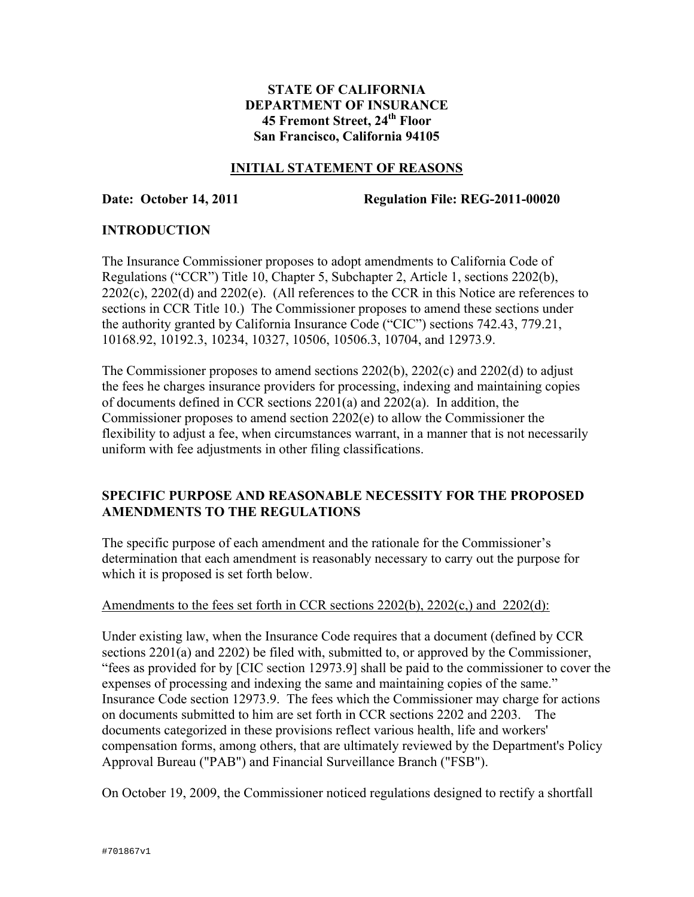## **STATE OF CALIFORNIA DEPARTMENT OF INSURANCE 45 Fremont Street, 24th Floor San Francisco, California 94105**

### **INITIAL STATEMENT OF REASONS**

**Date: October 14, 2011 Regulation File: REG-2011-00020** 

## **INTRODUCTION**

The Insurance Commissioner proposes to adopt amendments to California Code of Regulations ("CCR") Title 10, Chapter 5, Subchapter 2, Article 1, sections 2202(b), 2202(c), 2202(d) and 2202(e). (All references to the CCR in this Notice are references to sections in CCR Title 10.) The Commissioner proposes to amend these sections under the authority granted by California Insurance Code ("CIC") sections 742.43, 779.21, 10168.92, 10192.3, 10234, 10327, 10506, 10506.3, 10704, and 12973.9.

The Commissioner proposes to amend sections 2202(b), 2202(c) and 2202(d) to adjust the fees he charges insurance providers for processing, indexing and maintaining copies of documents defined in CCR sections 2201(a) and 2202(a). In addition, the Commissioner proposes to amend section 2202(e) to allow the Commissioner the flexibility to adjust a fee, when circumstances warrant, in a manner that is not necessarily uniform with fee adjustments in other filing classifications.

## **SPECIFIC PURPOSE AND REASONABLE NECESSITY FOR THE PROPOSED AMENDMENTS TO THE REGULATIONS**

The specific purpose of each amendment and the rationale for the Commissioner's determination that each amendment is reasonably necessary to carry out the purpose for which it is proposed is set forth below.

### Amendments to the fees set forth in CCR sections 2202(b), 2202(c,) and 2202(d):

Under existing law, when the Insurance Code requires that a document (defined by CCR sections 2201(a) and 2202) be filed with, submitted to, or approved by the Commissioner, "fees as provided for by [CIC section 12973.9] shall be paid to the commissioner to cover the expenses of processing and indexing the same and maintaining copies of the same." Insurance Code section 12973.9. The fees which the Commissioner may charge for actions on documents submitted to him are set forth in CCR sections 2202 and 2203. The documents categorized in these provisions reflect various health, life and workers' compensation forms, among others, that are ultimately reviewed by the Department's Policy Approval Bureau ("PAB") and Financial Surveillance Branch ("FSB").

On October 19, 2009, the Commissioner noticed regulations designed to rectify a shortfall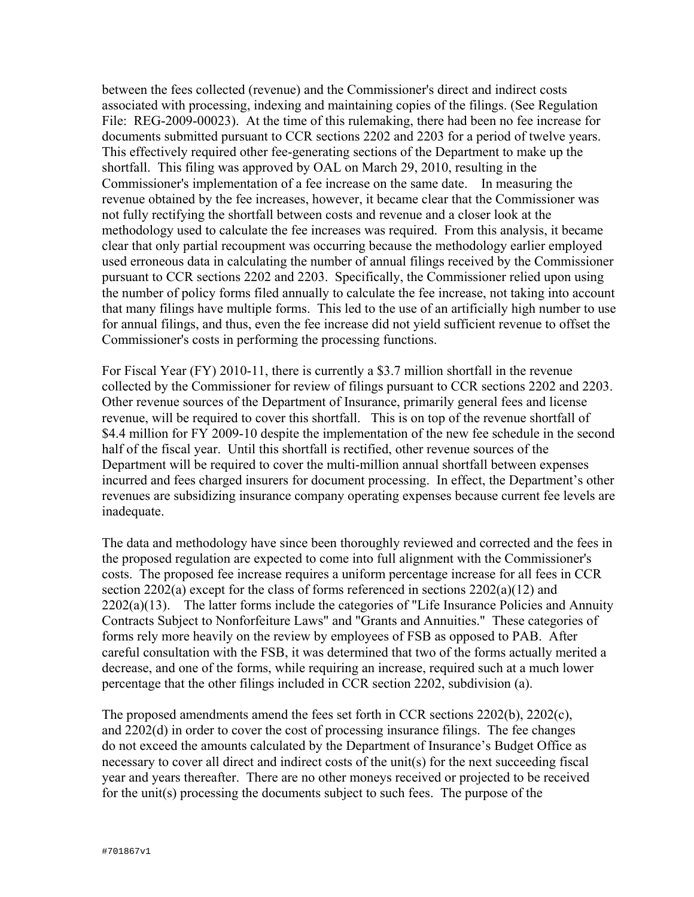between the fees collected (revenue) and the Commissioner's direct and indirect costs associated with processing, indexing and maintaining copies of the filings. (See Regulation File: REG-2009-00023). At the time of this rulemaking, there had been no fee increase for documents submitted pursuant to CCR sections 2202 and 2203 for a period of twelve years. This effectively required other fee-generating sections of the Department to make up the shortfall. This filing was approved by OAL on March 29, 2010, resulting in the Commissioner's implementation of a fee increase on the same date. In measuring the revenue obtained by the fee increases, however, it became clear that the Commissioner was not fully rectifying the shortfall between costs and revenue and a closer look at the methodology used to calculate the fee increases was required. From this analysis, it became clear that only partial recoupment was occurring because the methodology earlier employed used erroneous data in calculating the number of annual filings received by the Commissioner pursuant to CCR sections 2202 and 2203. Specifically, the Commissioner relied upon using the number of policy forms filed annually to calculate the fee increase, not taking into account that many filings have multiple forms. This led to the use of an artificially high number to use for annual filings, and thus, even the fee increase did not yield sufficient revenue to offset the Commissioner's costs in performing the processing functions.

For Fiscal Year (FY) 2010-11, there is currently a \$3.7 million shortfall in the revenue collected by the Commissioner for review of filings pursuant to CCR sections 2202 and 2203. Other revenue sources of the Department of Insurance, primarily general fees and license revenue, will be required to cover this shortfall. This is on top of the revenue shortfall of \$4.4 million for FY 2009-10 despite the implementation of the new fee schedule in the second half of the fiscal year. Until this shortfall is rectified, other revenue sources of the Department will be required to cover the multi-million annual shortfall between expenses incurred and fees charged insurers for document processing. In effect, the Department's other revenues are subsidizing insurance company operating expenses because current fee levels are inadequate.

The data and methodology have since been thoroughly reviewed and corrected and the fees in the proposed regulation are expected to come into full alignment with the Commissioner's costs. The proposed fee increase requires a uniform percentage increase for all fees in CCR section 2202(a) except for the class of forms referenced in sections 2202(a)(12) and  $2202(a)(13)$ . The latter forms include the categories of "Life Insurance Policies and Annuity Contracts Subject to Nonforfeiture Laws" and "Grants and Annuities." These categories of forms rely more heavily on the review by employees of FSB as opposed to PAB. After careful consultation with the FSB, it was determined that two of the forms actually merited a decrease, and one of the forms, while requiring an increase, required such at a much lower percentage that the other filings included in CCR section 2202, subdivision (a).

The proposed amendments amend the fees set forth in CCR sections 2202(b), 2202(c), and 2202(d) in order to cover the cost of processing insurance filings. The fee changes do not exceed the amounts calculated by the Department of Insurance's Budget Office as necessary to cover all direct and indirect costs of the unit(s) for the next succeeding fiscal year and years thereafter. There are no other moneys received or projected to be received for the unit(s) processing the documents subject to such fees. The purpose of the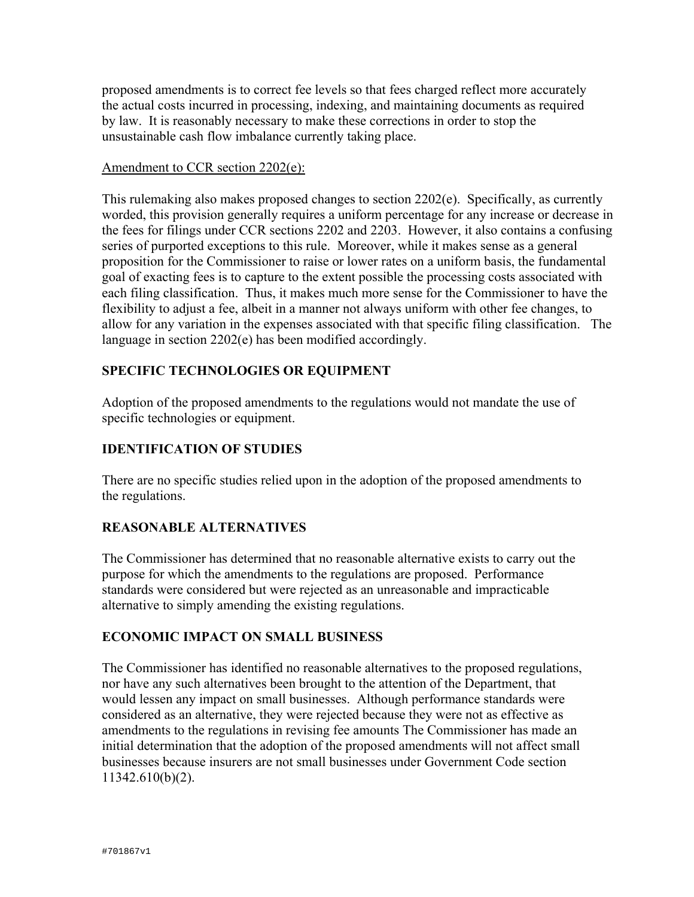proposed amendments is to correct fee levels so that fees charged reflect more accurately the actual costs incurred in processing, indexing, and maintaining documents as required by law. It is reasonably necessary to make these corrections in order to stop the unsustainable cash flow imbalance currently taking place.

### Amendment to CCR section 2202(e):

This rulemaking also makes proposed changes to section 2202(e). Specifically, as currently worded, this provision generally requires a uniform percentage for any increase or decrease in the fees for filings under CCR sections 2202 and 2203. However, it also contains a confusing series of purported exceptions to this rule. Moreover, while it makes sense as a general proposition for the Commissioner to raise or lower rates on a uniform basis, the fundamental goal of exacting fees is to capture to the extent possible the processing costs associated with each filing classification. Thus, it makes much more sense for the Commissioner to have the flexibility to adjust a fee, albeit in a manner not always uniform with other fee changes, to allow for any variation in the expenses associated with that specific filing classification. The language in section 2202(e) has been modified accordingly.

# **SPECIFIC TECHNOLOGIES OR EQUIPMENT**

Adoption of the proposed amendments to the regulations would not mandate the use of specific technologies or equipment.

# **IDENTIFICATION OF STUDIES**

There are no specific studies relied upon in the adoption of the proposed amendments to the regulations.

## **REASONABLE ALTERNATIVES**

The Commissioner has determined that no reasonable alternative exists to carry out the purpose for which the amendments to the regulations are proposed. Performance standards were considered but were rejected as an unreasonable and impracticable alternative to simply amending the existing regulations.

## **ECONOMIC IMPACT ON SMALL BUSINESS**

The Commissioner has identified no reasonable alternatives to the proposed regulations, nor have any such alternatives been brought to the attention of the Department, that would lessen any impact on small businesses. Although performance standards were considered as an alternative, they were rejected because they were not as effective as amendments to the regulations in revising fee amounts The Commissioner has made an initial determination that the adoption of the proposed amendments will not affect small businesses because insurers are not small businesses under Government Code section 11342.610(b)(2).